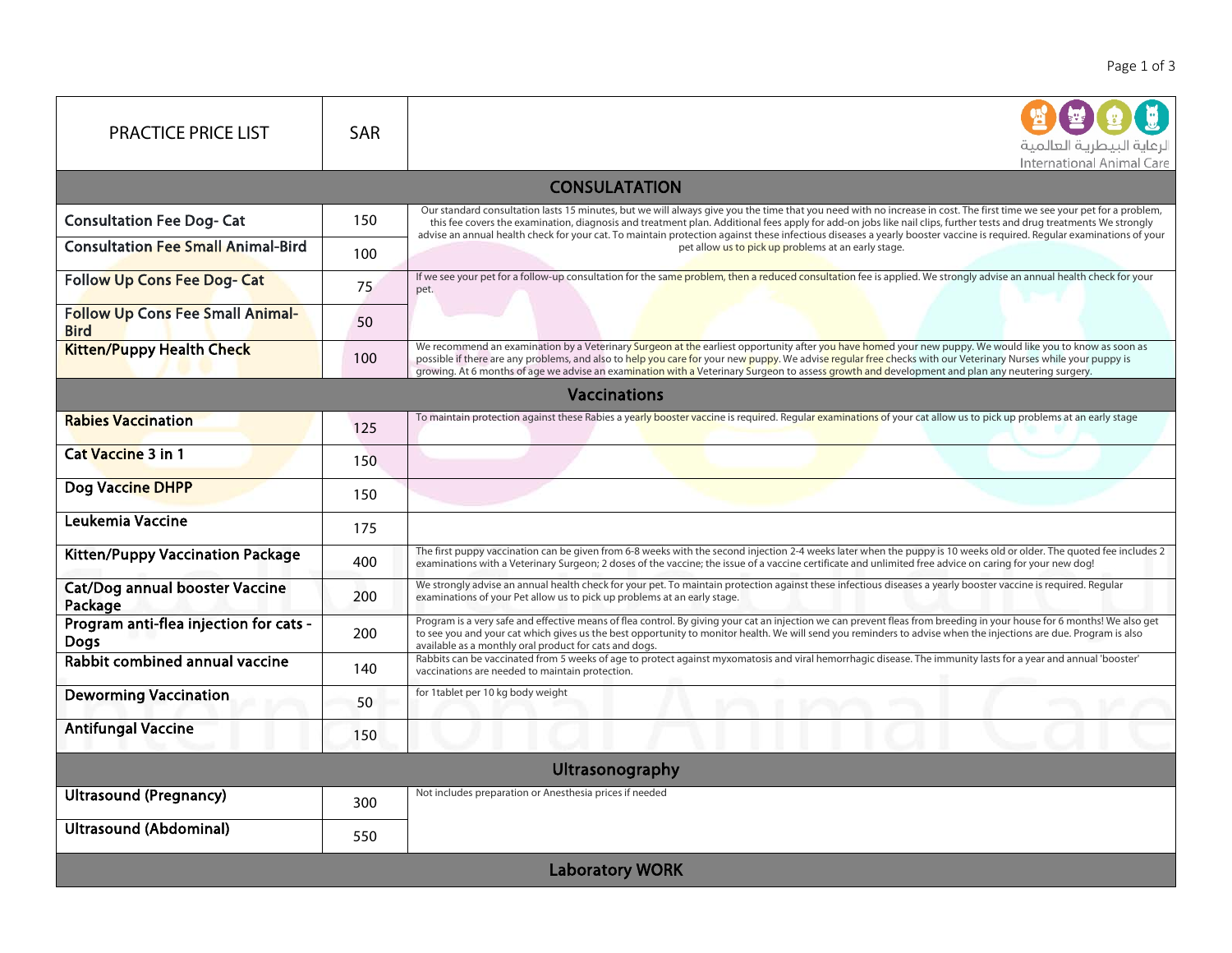| <b>PRACTICE PRICE LIST</b>                             | <b>SAR</b> | لرعاية البيطرية العالمية<br>International Animal Care                                                                                                                                                                                                                                                                                                                                                                                                                                                                                                                           |  |  |
|--------------------------------------------------------|------------|---------------------------------------------------------------------------------------------------------------------------------------------------------------------------------------------------------------------------------------------------------------------------------------------------------------------------------------------------------------------------------------------------------------------------------------------------------------------------------------------------------------------------------------------------------------------------------|--|--|
| <b>CONSULATATION</b>                                   |            |                                                                                                                                                                                                                                                                                                                                                                                                                                                                                                                                                                                 |  |  |
| <b>Consultation Fee Dog- Cat</b>                       | 150        | Our standard consultation lasts 15 minutes, but we will always give you the time that you need with no increase in cost. The first time we see your pet for a problem,<br>this fee covers the examination, diagnosis and treatment plan. Additional fees apply for add-on jobs like nail clips, further tests and drug treatments We strongly<br>advise an annual health check for your cat. To maintain protection against these infectious diseases a yearly booster vaccine is required. Reqular examinations of your<br>pet allow us to pick up problems at an early stage. |  |  |
| <b>Consultation Fee Small Animal-Bird</b>              | 100        |                                                                                                                                                                                                                                                                                                                                                                                                                                                                                                                                                                                 |  |  |
| <b>Follow Up Cons Fee Dog- Cat</b>                     | 75         | If we see your pet for a follow-up consultation for the same problem, then a reduced consultation fee is applied. We strongly advise an annual health check for your<br>pet.                                                                                                                                                                                                                                                                                                                                                                                                    |  |  |
| <b>Follow Up Cons Fee Small Animal-</b><br><b>Bird</b> | 50         |                                                                                                                                                                                                                                                                                                                                                                                                                                                                                                                                                                                 |  |  |
| <b>Kitten/Puppy Health Check</b>                       | 100        | We recommend an examination by a Veterinary Surgeon at the earliest opportunity after you have homed your new puppy. We would like you to know as soon as<br>possible if there are any problems, and also to help you care for your new puppy. We advise regular free checks with our Veterinary Nurses while your puppy is<br>.<br>growing. At 6 months of age we advise an exa <mark>mination with a</mark> Veterinary Surgeon to asses <mark>s growth and d</mark> evelopment and plan any neutering surgery.                                                                |  |  |
| <b>Vaccinations</b>                                    |            |                                                                                                                                                                                                                                                                                                                                                                                                                                                                                                                                                                                 |  |  |
| <b>Rabies Vaccination</b>                              | 125        | To maintain protection against these Rabies a yearly booster vaccine is required. Regular examinations of your cat allow us to pick up problems at an early stage                                                                                                                                                                                                                                                                                                                                                                                                               |  |  |
| <b>Cat Vaccine 3 in 1</b>                              | 150        |                                                                                                                                                                                                                                                                                                                                                                                                                                                                                                                                                                                 |  |  |
| Dog Vaccine DHPP                                       | 150        |                                                                                                                                                                                                                                                                                                                                                                                                                                                                                                                                                                                 |  |  |
| Leukemia Vaccine                                       | 175        |                                                                                                                                                                                                                                                                                                                                                                                                                                                                                                                                                                                 |  |  |
| <b>Kitten/Puppy Vaccination Package</b>                | 400        | The first puppy vaccination can be given from 6-8 weeks with the second injection 2-4 weeks later when the puppy is 10 weeks old or older. The quoted fee includes 2<br>examinations with a Veterinary Surgeon; 2 doses of the vaccine; the issue of a vaccine certificate and unlimited free advice on caring for your new dog!                                                                                                                                                                                                                                                |  |  |
| <b>Cat/Dog annual booster Vaccine</b><br>Package       | 200        | We strongly advise an annual health check for your pet. To maintain protection against these infectious diseases a yearly booster vaccine is required. Regular<br>examinations of your Pet allow us to pick up problems at an early stage.                                                                                                                                                                                                                                                                                                                                      |  |  |
| Program anti-flea injection for cats -<br><b>Dogs</b>  | 200        | Program is a very safe and effective means of flea control. By giving your cat an injection we can prevent fleas from breeding in your house for 6 months! We also get<br>to see you and your cat which gives us the best opportunity to monitor health. We will send you reminders to advise when the injections are due. Program is also<br>available as a monthly oral product for cats and dogs.                                                                                                                                                                            |  |  |
| Rabbit combined annual vaccine                         | 140        | Rabbits can be vaccinated from 5 weeks of age to protect against myxomatosis and viral hemorrhagic disease. The immunity lasts for a year and annual 'booster'<br>vaccinations are needed to maintain protection.                                                                                                                                                                                                                                                                                                                                                               |  |  |
| <b>Deworming Vaccination</b>                           | 50         | for 1tablet per 10 kg body weight                                                                                                                                                                                                                                                                                                                                                                                                                                                                                                                                               |  |  |
| <b>Antifungal Vaccine</b>                              | 150        |                                                                                                                                                                                                                                                                                                                                                                                                                                                                                                                                                                                 |  |  |
|                                                        |            | Ultrasonography                                                                                                                                                                                                                                                                                                                                                                                                                                                                                                                                                                 |  |  |
| <b>Ultrasound (Pregnancy)</b>                          | 300        | Not includes preparation or Anesthesia prices if needed                                                                                                                                                                                                                                                                                                                                                                                                                                                                                                                         |  |  |
| <b>Ultrasound (Abdominal)</b>                          | 550        |                                                                                                                                                                                                                                                                                                                                                                                                                                                                                                                                                                                 |  |  |
|                                                        |            | <b>Laboratory WORK</b>                                                                                                                                                                                                                                                                                                                                                                                                                                                                                                                                                          |  |  |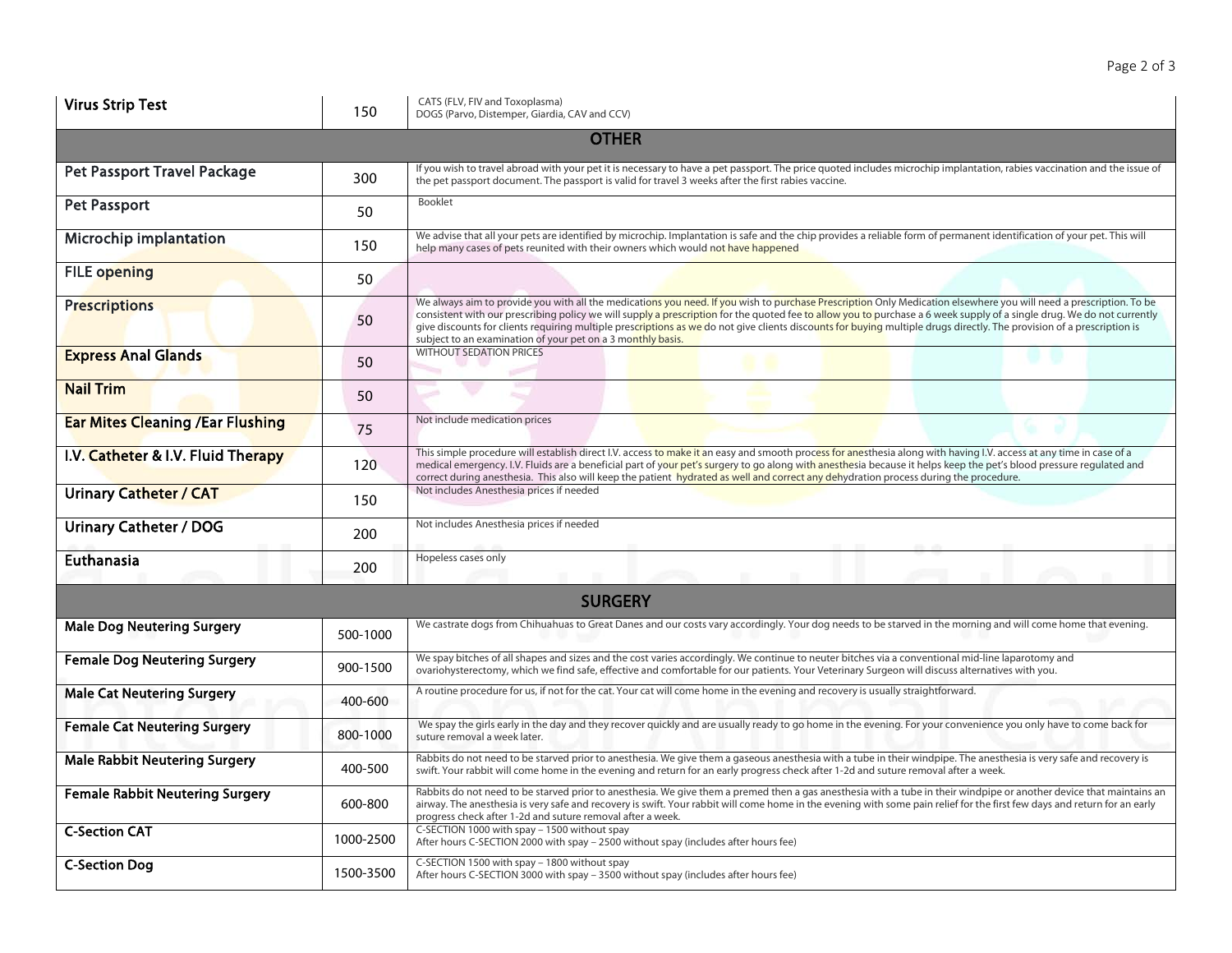| <b>Virus Strip Test</b>                  | 150       | CATS (FLV, FIV and Toxoplasma)<br>DOGS (Parvo, Distemper, Giardia, CAV and CCV)                                                                                                                                                                                                                                                                                                                                                                                                                                                                                                       |  |  |
|------------------------------------------|-----------|---------------------------------------------------------------------------------------------------------------------------------------------------------------------------------------------------------------------------------------------------------------------------------------------------------------------------------------------------------------------------------------------------------------------------------------------------------------------------------------------------------------------------------------------------------------------------------------|--|--|
|                                          |           | <b>OTHER</b>                                                                                                                                                                                                                                                                                                                                                                                                                                                                                                                                                                          |  |  |
| <b>Pet Passport Travel Package</b>       | 300       | If you wish to travel abroad with your pet it is necessary to have a pet passport. The price quoted includes microchip implantation, rabies vaccination and the issue of<br>the pet passport document. The passport is valid for travel 3 weeks after the first rabies vaccine.                                                                                                                                                                                                                                                                                                       |  |  |
| <b>Pet Passport</b>                      | 50        | Booklet                                                                                                                                                                                                                                                                                                                                                                                                                                                                                                                                                                               |  |  |
| Microchip implantation                   | 150       | We advise that all your pets are identified by microchip. Implantation is safe and the chip provides a reliable form of permanent identification of your pet. This will<br>help many cases of pets reunited with their owners which would not have happened                                                                                                                                                                                                                                                                                                                           |  |  |
| <b>FILE opening</b>                      | 50        |                                                                                                                                                                                                                                                                                                                                                                                                                                                                                                                                                                                       |  |  |
| <b>Prescriptions</b>                     | 50        | We always aim to provide you with all the medications you need. If you wish to purchase Prescription Only Medication elsewhere you will need a prescription. To be<br>consistent with our prescribing policy we will supply a prescription for the quoted fee to allow you to purchase a 6 week supply of a single drug. We do not currently<br>give discounts for clients requiring multiple prescriptions as we do not give clients discounts for buying multiple drugs directly. The provision of a prescription is<br>subject to an examination of your pet on a 3 monthly basis. |  |  |
| <b>Express Anal Glands</b>               | 50        | <b>WITHOUT SEDATION PRICES</b>                                                                                                                                                                                                                                                                                                                                                                                                                                                                                                                                                        |  |  |
| <b>Nail Trim</b>                         | 50        |                                                                                                                                                                                                                                                                                                                                                                                                                                                                                                                                                                                       |  |  |
| <b>Ear Mites Cleaning / Ear Flushing</b> | 75        | Not include medication prices                                                                                                                                                                                                                                                                                                                                                                                                                                                                                                                                                         |  |  |
| I.V. Catheter & I.V. Fluid Therapy       | 120       | This simple procedure will establish direct I.V. access to make it an easy and smooth process for anesthesia along with having I.V. access at any time in case of a<br>medical emergency. I.V. Fluids are a beneficial part of your pet's surgery to go along with anesthesia because it helps keep the pet's blood pressure regulated and<br>correct during anesthesia. This also will keep the patient hydrated as well and correct any dehydration process during the procedure.                                                                                                   |  |  |
| <b>Urinary Catheter / CAT</b>            | 150       | Not includes Anesthesia prices if needed                                                                                                                                                                                                                                                                                                                                                                                                                                                                                                                                              |  |  |
| <b>Urinary Catheter / DOG</b>            | 200       | Not includes Anesthesia prices if needed                                                                                                                                                                                                                                                                                                                                                                                                                                                                                                                                              |  |  |
| Euthanasia                               | 200       | Hopeless cases only                                                                                                                                                                                                                                                                                                                                                                                                                                                                                                                                                                   |  |  |
| <b>SURGERY</b>                           |           |                                                                                                                                                                                                                                                                                                                                                                                                                                                                                                                                                                                       |  |  |
| <b>Male Dog Neutering Surgery</b>        | 500-1000  | We castrate dogs from Chihuahuas to Great Danes and our costs vary accordingly. Your dog needs to be starved in the morning and will come home that evening.                                                                                                                                                                                                                                                                                                                                                                                                                          |  |  |
| <b>Female Dog Neutering Surgery</b>      | 900-1500  | We spay bitches of all shapes and sizes and the cost varies accordingly. We continue to neuter bitches via a conventional mid-line laparotomy and<br>ovariohysterectomy, which we find safe, effective and comfortable for our patients. Your Veterinary Surgeon will discuss alternatives with you.                                                                                                                                                                                                                                                                                  |  |  |
| <b>Male Cat Neutering Surgery</b>        | 400-600   | A routine procedure for us, if not for the cat. Your cat will come home in the evening and recovery is usually straightforward.                                                                                                                                                                                                                                                                                                                                                                                                                                                       |  |  |
| <b>Female Cat Neutering Surgery</b>      | 800-1000  | We spay the girls early in the day and they recover quickly and are usually ready to go home in the evening. For your convenience you only have to come back for<br>suture removal a week later.                                                                                                                                                                                                                                                                                                                                                                                      |  |  |
| <b>Male Rabbit Neutering Surgery</b>     | 400-500   | Rabbits do not need to be starved prior to anesthesia. We give them a gaseous anesthesia with a tube in their windpipe. The anesthesia is very safe and recovery is<br>swift. Your rabbit will come home in the evening and return for an early progress check after 1-2d and suture removal after a week.                                                                                                                                                                                                                                                                            |  |  |
| <b>Female Rabbit Neutering Surgery</b>   | 600-800   | Rabbits do not need to be starved prior to anesthesia. We give them a premed then a gas anesthesia with a tube in their windpipe or another device that maintains an<br>airway. The anesthesia is very safe and recovery is swift. Your rabbit will come home in the evening with some pain relief for the first few days and return for an early<br>progress check after 1-2d and suture removal after a week.                                                                                                                                                                       |  |  |
| <b>C-Section CAT</b>                     | 1000-2500 | C-SECTION 1000 with spay - 1500 without spay<br>After hours C-SECTION 2000 with spay - 2500 without spay (includes after hours fee)                                                                                                                                                                                                                                                                                                                                                                                                                                                   |  |  |
| <b>C-Section Dog</b>                     | 1500-3500 | C-SECTION 1500 with spay - 1800 without spay<br>After hours C-SECTION 3000 with spay - 3500 without spay (includes after hours fee)                                                                                                                                                                                                                                                                                                                                                                                                                                                   |  |  |

Page 2 of 3